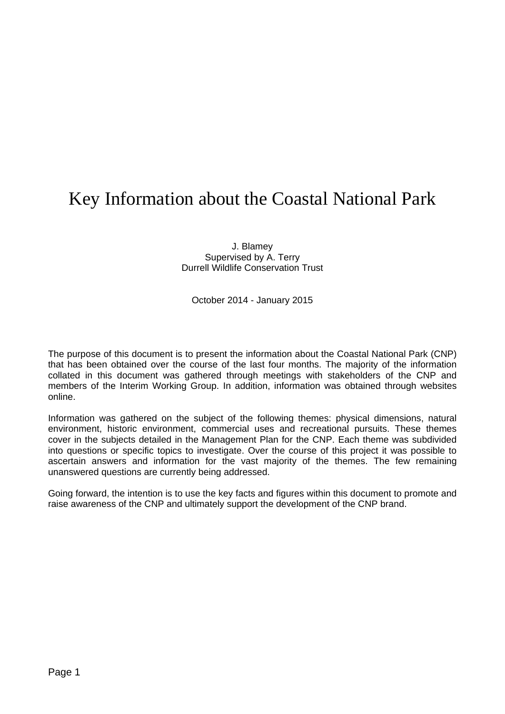## Key Information about the Coastal National Park

J. Blamey Supervised by A. Terry Durrell Wildlife Conservation Trust

October 2014 - January 2015

The purpose of this document is to present the information about the Coastal National Park (CNP) that has been obtained over the course of the last four months. The majority of the information collated in this document was gathered through meetings with stakeholders of the CNP and members of the Interim Working Group. In addition, information was obtained through websites online.

Information was gathered on the subject of the following themes: physical dimensions, natural environment, historic environment, commercial uses and recreational pursuits. These themes cover in the subjects detailed in the Management Plan for the CNP. Each theme was subdivided into questions or specific topics to investigate. Over the course of this project it was possible to ascertain answers and information for the vast majority of the themes. The few remaining unanswered questions are currently being addressed.

Going forward, the intention is to use the key facts and figures within this document to promote and raise awareness of the CNP and ultimately support the development of the CNP brand.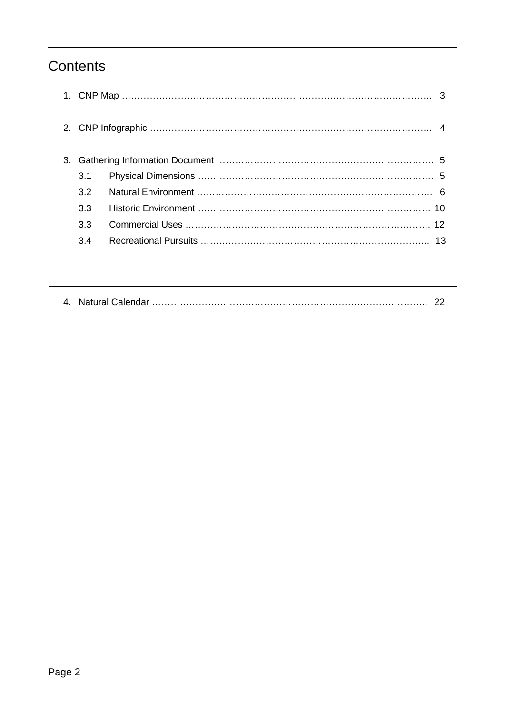### **Contents**

|  | 3.1 |  |
|--|-----|--|
|  | 3.2 |  |
|  | 3.3 |  |
|  | 3.3 |  |
|  | 3.4 |  |
|  |     |  |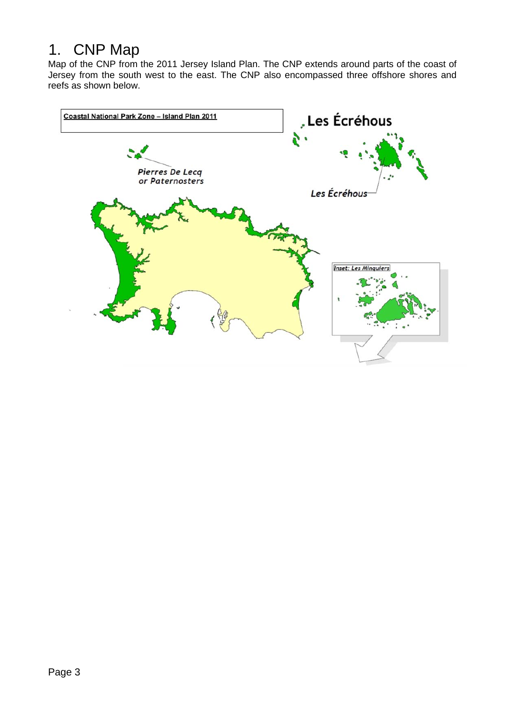### 1. CNP Map

Map of the CNP from the 2011 Jersey Island Plan. The CNP extends around parts of the coast of Jersey from the south west to the east. The CNP also encompassed three offshore shores and reefs as shown below.

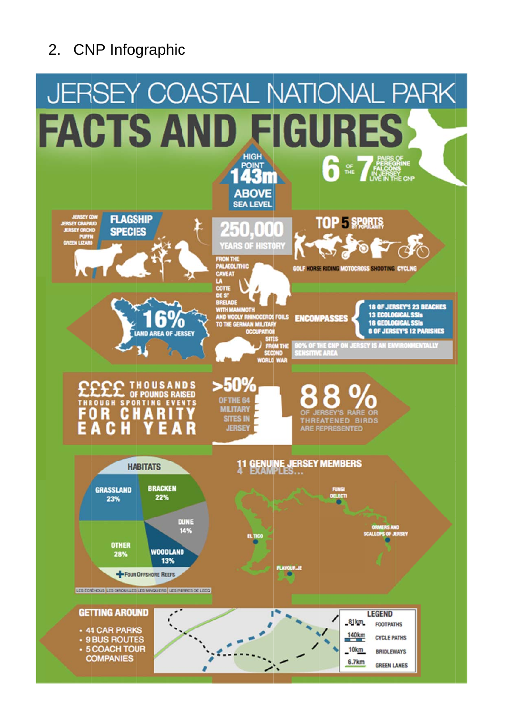# 2. CNP Infographic

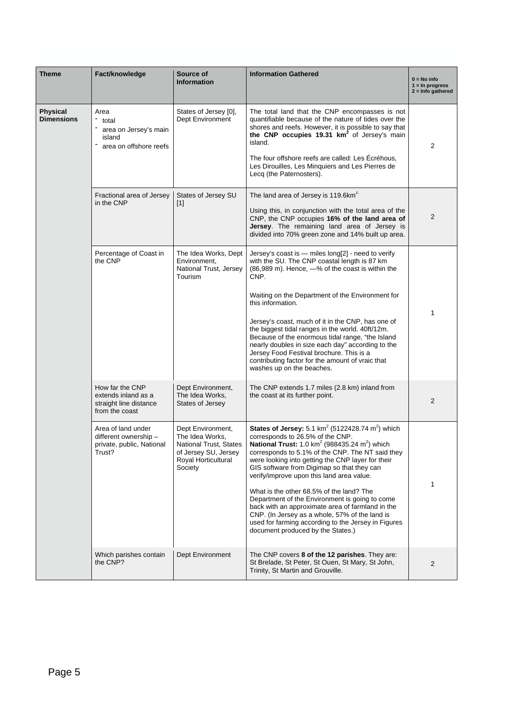| <b>Theme</b>                  | Fact/knowledge                                                                     | Source of<br><b>Information</b>                                                                                          | <b>Information Gathered</b>                                                                                                                                                                                                                                                                                                                                                                                                                                                                                                                                                                                                                                                                      | $0 = No$ info<br>$1 = \ln$ progress<br>$2 =$ Info gathered |
|-------------------------------|------------------------------------------------------------------------------------|--------------------------------------------------------------------------------------------------------------------------|--------------------------------------------------------------------------------------------------------------------------------------------------------------------------------------------------------------------------------------------------------------------------------------------------------------------------------------------------------------------------------------------------------------------------------------------------------------------------------------------------------------------------------------------------------------------------------------------------------------------------------------------------------------------------------------------------|------------------------------------------------------------|
| Physical<br><b>Dimensions</b> | Area<br>total<br>area on Jersey's main<br>island<br>area on offshore reefs         | States of Jersey [0],<br>Dept Environment                                                                                | The total land that the CNP encompasses is not<br>quantifiable because of the nature of tides over the<br>shores and reefs. However, it is possible to say that<br>the CNP occupies 19.31 km <sup>2</sup> of Jersey's main<br>island.<br>The four offshore reefs are called: Les Écréhous,<br>Les Dirouilles, Les Minquiers and Les Pierres de<br>Lecq (the Paternosters).                                                                                                                                                                                                                                                                                                                       | 2                                                          |
|                               | Fractional area of Jersey<br>in the CNP                                            | States of Jersey SU<br>$[1]$                                                                                             | The land area of Jersey is 119.6km <sup>2.</sup><br>Using this, in conjunction with the total area of the<br>CNP, the CNP occupies 16% of the land area of<br>Jersey. The remaining land area of Jersey is<br>divided into 70% green zone and 14% built up area.                                                                                                                                                                                                                                                                                                                                                                                                                                 | 2                                                          |
|                               | Percentage of Coast in<br>the CNP                                                  | The Idea Works, Dept<br>Environment,<br>National Trust, Jersey<br>Tourism                                                | Jersey's coast is $-$ miles long[2] - need to verify<br>with the SU. The CNP coastal length is 87 km<br>(86,989 m). Hence, -% of the coast is within the<br>CNP.<br>Waiting on the Department of the Environment for<br>this information.<br>Jersey's coast, much of it in the CNP, has one of<br>the biggest tidal ranges in the world. 40ft/12m.<br>Because of the enormous tidal range, "the Island<br>nearly doubles in size each day" according to the<br>Jersey Food Festival brochure. This is a<br>contributing factor for the amount of vraic that<br>washes up on the beaches.                                                                                                         | 1                                                          |
|                               | How far the CNP<br>extends inland as a<br>straight line distance<br>from the coast | Dept Environment,<br>The Idea Works,<br>States of Jersey                                                                 | The CNP extends 1.7 miles (2.8 km) inland from<br>the coast at its further point.                                                                                                                                                                                                                                                                                                                                                                                                                                                                                                                                                                                                                | 2                                                          |
|                               | Area of land under<br>different ownership -<br>private, public, National<br>Trust? | Dept Environment,<br>The Idea Works,<br>National Trust. States<br>of Jersey SU, Jersey<br>Royal Horticultural<br>Society | <b>States of Jersey:</b> 5.1 km <sup>2</sup> (5122428.74 m <sup>2</sup> ) which<br>corresponds to 26.5% of the CNP.<br>National Trust: 1.0 km <sup>2</sup> (988435.24 m <sup>2</sup> ) which<br>corresponds to 5.1% of the CNP. The NT said they<br>were looking into getting the CNP layer for their<br>GIS software from Digimap so that they can<br>verify/improve upon this land area value.<br>What is the other 68.5% of the land? The<br>Department of the Environment is going to come<br>back with an approximate area of farmland in the<br>CNP. (In Jersey as a whole, 57% of the land is<br>used for farming according to the Jersey in Figures<br>document produced by the States.) | 1                                                          |
|                               | Which parishes contain<br>the CNP?                                                 | Dept Environment                                                                                                         | The CNP covers 8 of the 12 parishes. They are:<br>St Brelade, St Peter, St Ouen, St Mary, St John,<br>Trinity, St Martin and Grouville.                                                                                                                                                                                                                                                                                                                                                                                                                                                                                                                                                          | 2                                                          |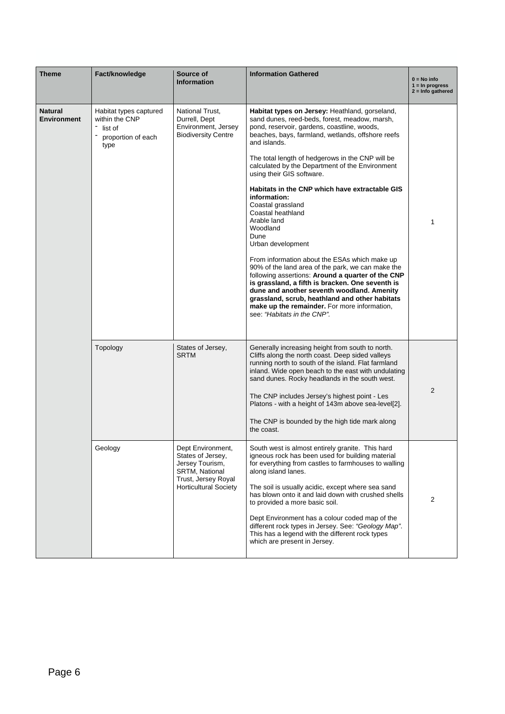| <b>Theme</b>                         | Fact/knowledge                                                                    | Source of<br><b>Information</b>                                                                                                    | <b>Information Gathered</b>                                                                                                                                                                                                                                                                                                                                                                                                                                                                                                                                                                                                                                                                                                                                                                                                                                                                                               | $0 = No$ info<br>$1 = \ln$ progress<br>$2 =$ Info gathered |
|--------------------------------------|-----------------------------------------------------------------------------------|------------------------------------------------------------------------------------------------------------------------------------|---------------------------------------------------------------------------------------------------------------------------------------------------------------------------------------------------------------------------------------------------------------------------------------------------------------------------------------------------------------------------------------------------------------------------------------------------------------------------------------------------------------------------------------------------------------------------------------------------------------------------------------------------------------------------------------------------------------------------------------------------------------------------------------------------------------------------------------------------------------------------------------------------------------------------|------------------------------------------------------------|
| <b>Natural</b><br><b>Environment</b> | Habitat types captured<br>within the CNP<br>list of<br>proportion of each<br>type | National Trust.<br>Durrell, Dept<br>Environment, Jersey<br><b>Biodiversity Centre</b>                                              | Habitat types on Jersey: Heathland, gorseland,<br>sand dunes, reed-beds, forest, meadow, marsh,<br>pond, reservoir, gardens, coastline, woods,<br>beaches, bays, farmland, wetlands, offshore reefs<br>and islands.<br>The total length of hedgerows in the CNP will be<br>calculated by the Department of the Environment<br>using their GIS software.<br>Habitats in the CNP which have extractable GIS<br>information:<br>Coastal grassland<br>Coastal heathland<br>Arable land<br>Woodland<br>Dune<br>Urban development<br>From information about the ESAs which make up<br>90% of the land area of the park, we can make the<br>following assertions: Around a quarter of the CNP<br>is grassland, a fifth is bracken. One seventh is<br>dune and another seventh woodland. Amenity<br>grassland, scrub, heathland and other habitats<br>make up the remainder. For more information,<br>see: "Habitats in the CNP". | 1                                                          |
|                                      | Topology                                                                          | States of Jersey,<br><b>SRTM</b>                                                                                                   | Generally increasing height from south to north.<br>Cliffs along the north coast. Deep sided valleys<br>running north to south of the island. Flat farmland<br>inland. Wide open beach to the east with undulating<br>sand dunes. Rocky headlands in the south west.<br>The CNP includes Jersey's highest point - Les<br>Platons - with a height of 143m above sea-level[2].<br>The CNP is bounded by the high tide mark along<br>the coast.                                                                                                                                                                                                                                                                                                                                                                                                                                                                              | 2                                                          |
|                                      | Geology                                                                           | Dept Environment,<br>States of Jersey,<br>Jersey Tourism,<br>SRTM, National<br>Trust, Jersey Royal<br><b>Horticultural Society</b> | South west is almost entirely granite. This hard<br>igneous rock has been used for building material<br>for everything from castles to farmhouses to walling<br>along island lanes.<br>The soil is usually acidic, except where sea sand<br>has blown onto it and laid down with crushed shells<br>to provided a more basic soil.<br>Dept Environment has a colour coded map of the<br>different rock types in Jersey. See: "Geology Map".<br>This has a legend with the different rock types<br>which are present in Jersey.                                                                                                                                                                                                                                                                                                                                                                                             | 2                                                          |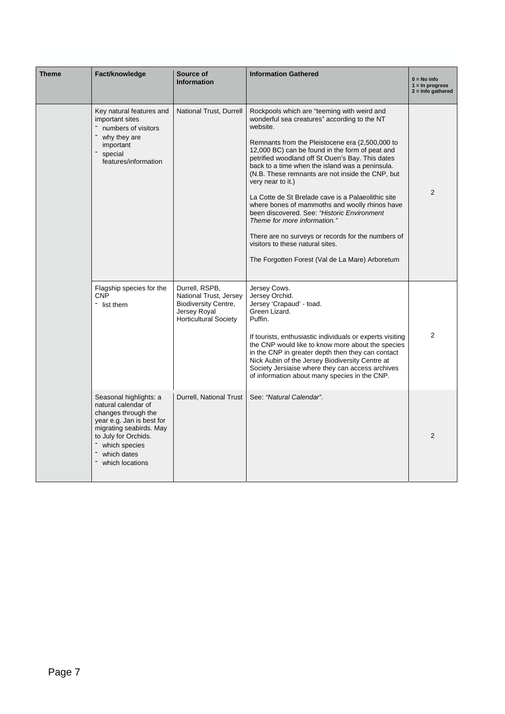| <b>Theme</b> | Fact/knowledge                                                                                                                                                                                          | Source of<br><b>Information</b>                                                                                         | <b>Information Gathered</b>                                                                                                                                                                                                                                                                                                                                                                                                                                                                                                                                                                                                                                                                                                       | $0 = No$ info<br>$1 = \ln$ progress<br>$2 =$ Info gathered |
|--------------|---------------------------------------------------------------------------------------------------------------------------------------------------------------------------------------------------------|-------------------------------------------------------------------------------------------------------------------------|-----------------------------------------------------------------------------------------------------------------------------------------------------------------------------------------------------------------------------------------------------------------------------------------------------------------------------------------------------------------------------------------------------------------------------------------------------------------------------------------------------------------------------------------------------------------------------------------------------------------------------------------------------------------------------------------------------------------------------------|------------------------------------------------------------|
|              | Key natural features and<br>important sites<br>numbers of visitors<br>why they are<br>important<br>special<br>features/information                                                                      | National Trust, Durrell                                                                                                 | Rockpools which are "teeming with weird and<br>wonderful sea creatures" according to the NT<br>website.<br>Remnants from the Pleistocene era (2,500,000 to<br>12,000 BC) can be found in the form of peat and<br>petrified woodland off St Ouen's Bay. This dates<br>back to a time when the island was a peninsula.<br>(N.B. These remnants are not inside the CNP, but<br>very near to it.)<br>La Cotte de St Brelade cave is a Palaeolithic site<br>where bones of mammoths and woolly rhinos have<br>been discovered. See: "Historic Environment<br>Theme for more information."<br>There are no surveys or records for the numbers of<br>visitors to these natural sites.<br>The Forgotten Forest (Val de La Mare) Arboretum | $\overline{2}$                                             |
|              | Flagship species for the<br><b>CNP</b><br>list them                                                                                                                                                     | Durrell, RSPB,<br>National Trust, Jersey<br><b>Biodiversity Centre,</b><br>Jersey Royal<br><b>Horticultural Society</b> | Jersey Cows.<br>Jersey Orchid.<br>Jersey 'Crapaud' - toad.<br>Green Lizard.<br>Puffin.<br>If tourists, enthusiastic individuals or experts visiting<br>the CNP would like to know more about the species<br>in the CNP in greater depth then they can contact<br>Nick Aubin of the Jersey Biodiversity Centre at<br>Society Jersiaise where they can access archives<br>of information about many species in the CNP.                                                                                                                                                                                                                                                                                                             | $\overline{2}$                                             |
|              | Seasonal highlights: a<br>natural calendar of<br>changes through the<br>year e.g. Jan is best for<br>migrating seabirds. May<br>to July for Orchids.<br>which species<br>which dates<br>which locations | Durrell, National Trust                                                                                                 | See: "Natural Calendar".                                                                                                                                                                                                                                                                                                                                                                                                                                                                                                                                                                                                                                                                                                          | $\overline{2}$                                             |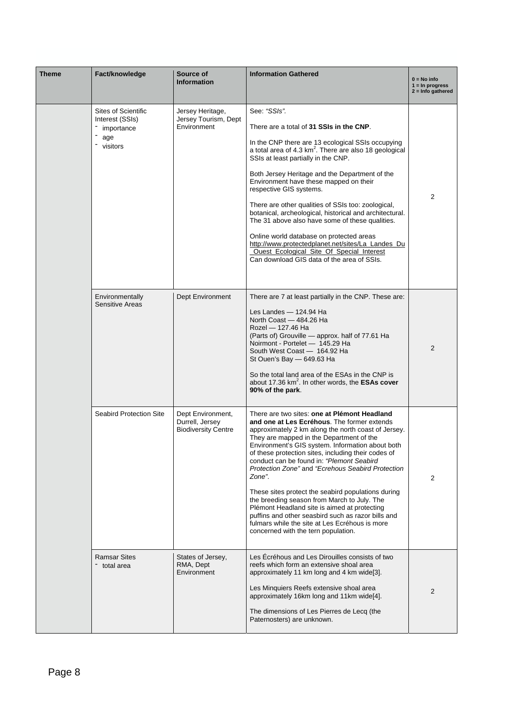| <b>Theme</b> | Fact/knowledge                            | Source of<br><b>Information</b>                                    | <b>Information Gathered</b>                                                                                                                                                                                                                                                                                                                                                                                                                                                                                                                                                                                                                                                                                               | $0 = No$ info<br>$1 = \ln$ progress<br>$2 =$ Info gathered |
|--------------|-------------------------------------------|--------------------------------------------------------------------|---------------------------------------------------------------------------------------------------------------------------------------------------------------------------------------------------------------------------------------------------------------------------------------------------------------------------------------------------------------------------------------------------------------------------------------------------------------------------------------------------------------------------------------------------------------------------------------------------------------------------------------------------------------------------------------------------------------------------|------------------------------------------------------------|
|              | <b>Sites of Scientific</b>                | Jersey Heritage,                                                   | See: "SSIs".                                                                                                                                                                                                                                                                                                                                                                                                                                                                                                                                                                                                                                                                                                              |                                                            |
|              | Interest (SSIs)<br>importance             | Jersey Tourism, Dept<br>Environment                                | There are a total of 31 SSIs in the CNP.                                                                                                                                                                                                                                                                                                                                                                                                                                                                                                                                                                                                                                                                                  |                                                            |
|              | age<br>visitors                           |                                                                    | In the CNP there are 13 ecological SSIs occupying<br>a total area of 4.3 $km^2$ . There are also 18 geological<br>SSIs at least partially in the CNP.                                                                                                                                                                                                                                                                                                                                                                                                                                                                                                                                                                     |                                                            |
|              |                                           |                                                                    | Both Jersey Heritage and the Department of the<br>Environment have these mapped on their<br>respective GIS systems.                                                                                                                                                                                                                                                                                                                                                                                                                                                                                                                                                                                                       | 2                                                          |
|              |                                           |                                                                    | There are other qualities of SSIs too: zoological,<br>botanical, archeological, historical and architectural.<br>The 31 above also have some of these qualities.                                                                                                                                                                                                                                                                                                                                                                                                                                                                                                                                                          |                                                            |
|              |                                           |                                                                    | Online world database on protected areas<br>http://www.protectedplanet.net/sites/La_Landes_Du<br>Ouest_Ecological_Site_Of_Special_Interest<br>Can download GIS data of the area of SSIs.                                                                                                                                                                                                                                                                                                                                                                                                                                                                                                                                  |                                                            |
|              | Environmentally<br><b>Sensitive Areas</b> | Dept Environment                                                   | There are 7 at least partially in the CNP. These are:<br>Les Landes - 124.94 Ha<br>North Coast - 484.26 Ha<br>Rozel - 127.46 Ha<br>(Parts of) Grouville - approx. half of 77.61 Ha<br>Noirmont - Portelet - 145.29 Ha<br>South West Coast - 164.92 Ha<br>St Ouen's Bay - 649.63 Ha<br>So the total land area of the ESAs in the CNP is<br>about 17.36 km <sup>2</sup> . In other words, the <b>ESAs cover</b><br>90% of the park.                                                                                                                                                                                                                                                                                         | 2                                                          |
|              | <b>Seabird Protection Site</b>            | Dept Environment,<br>Durrell, Jersey<br><b>Biodiversity Centre</b> | There are two sites: one at Plémont Headland<br>and one at Les Ecréhous. The former extends<br>approximately 2 km along the north coast of Jersey.<br>They are mapped in the Department of the<br>Environment's GIS system. Information about both<br>of these protection sites, including their codes of<br>conduct can be found in: "Plemont Seabird<br>Protection Zone" and "Ecrehous Seabird Protection<br>Zone".<br>These sites protect the seabird populations during<br>the breeding season from March to July. The<br>Plémont Headland site is aimed at protecting<br>puffins and other seasbird such as razor bills and<br>fulmars while the site at Les Ecréhous is more<br>concerned with the tern population. | 2                                                          |
|              | <b>Ramsar Sites</b><br>total area         | States of Jersey,<br>RMA, Dept<br>Environment                      | Les Ecréhous and Les Dirouilles consists of two<br>reefs which form an extensive shoal area<br>approximately 11 km long and 4 km wide[3].<br>Les Minquiers Reefs extensive shoal area<br>approximately 16km long and 11km wide[4].<br>The dimensions of Les Pierres de Lecq (the<br>Paternosters) are unknown.                                                                                                                                                                                                                                                                                                                                                                                                            | $\overline{2}$                                             |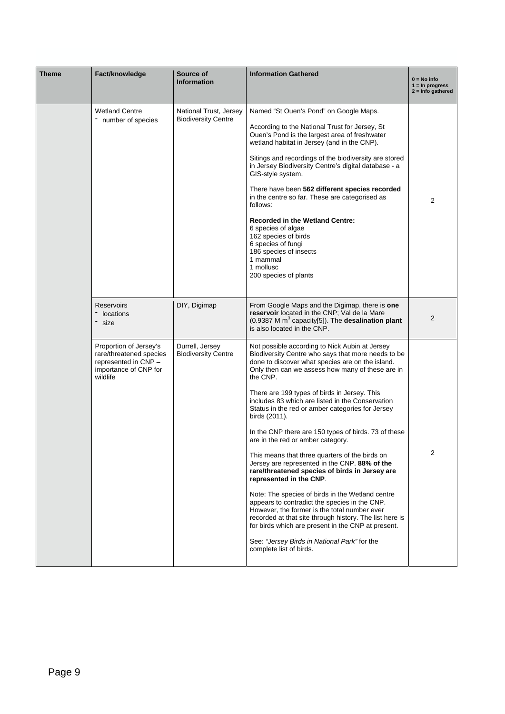| <b>Theme</b> | Fact/knowledge                                                                                                 | Source of<br><b>Information</b>                      | <b>Information Gathered</b>                                                                                                                                                                                                                                                                                                                                                                                                                                                                                                                                                                                                                                                                                                                                                                                                                                                                                                                                                                                                     | $0 = No$ info<br>$1 = \ln$ progress<br>$2 =$ Info gathered |
|--------------|----------------------------------------------------------------------------------------------------------------|------------------------------------------------------|---------------------------------------------------------------------------------------------------------------------------------------------------------------------------------------------------------------------------------------------------------------------------------------------------------------------------------------------------------------------------------------------------------------------------------------------------------------------------------------------------------------------------------------------------------------------------------------------------------------------------------------------------------------------------------------------------------------------------------------------------------------------------------------------------------------------------------------------------------------------------------------------------------------------------------------------------------------------------------------------------------------------------------|------------------------------------------------------------|
|              | <b>Wetland Centre</b><br>- number of species                                                                   | National Trust, Jersey<br><b>Biodiversity Centre</b> | Named "St Ouen's Pond" on Google Maps.<br>According to the National Trust for Jersey, St<br>Ouen's Pond is the largest area of freshwater<br>wetland habitat in Jersey (and in the CNP).<br>Sitings and recordings of the biodiversity are stored<br>in Jersey Biodiversity Centre's digital database - a<br>GIS-style system.<br>There have been 562 different species recorded<br>in the centre so far. These are categorised as<br>follows:<br><b>Recorded in the Wetland Centre:</b><br>6 species of algae<br>162 species of birds<br>6 species of fungi<br>186 species of insects<br>1 mammal<br>1 mollusc<br>200 species of plants                                                                                                                                                                                                                                                                                                                                                                                        | 2                                                          |
|              | <b>Reservoirs</b><br>locations<br>- size                                                                       | DIY, Digimap                                         | From Google Maps and the Digimap, there is one<br>reservoir located in the CNP; Val de la Mare<br>$(0.9387 \text{ M m}^3 \text{ capacity}[5])$ . The desalination plant<br>is also located in the CNP.                                                                                                                                                                                                                                                                                                                                                                                                                                                                                                                                                                                                                                                                                                                                                                                                                          | 2                                                          |
|              | Proportion of Jersey's<br>rare/threatened species<br>represented in CNP -<br>importance of CNP for<br>wildlife | Durrell, Jersey<br><b>Biodiversity Centre</b>        | Not possible according to Nick Aubin at Jersey<br>Biodiversity Centre who says that more needs to be<br>done to discover what species are on the island.<br>Only then can we assess how many of these are in<br>the CNP.<br>There are 199 types of birds in Jersey. This<br>includes 83 which are listed in the Conservation<br>Status in the red or amber categories for Jersey<br>birds (2011).<br>In the CNP there are 150 types of birds. 73 of these<br>are in the red or amber category.<br>This means that three quarters of the birds on<br>Jersey are represented in the CNP. 88% of the<br>rare/threatened species of birds in Jersey are<br>represented in the CNP.<br>Note: The species of birds in the Wetland centre<br>appears to contradict the species in the CNP.<br>However, the former is the total number ever<br>recorded at that site through history. The list here is<br>for birds which are present in the CNP at present.<br>See: "Jersey Birds in National Park" for the<br>complete list of birds. | 2                                                          |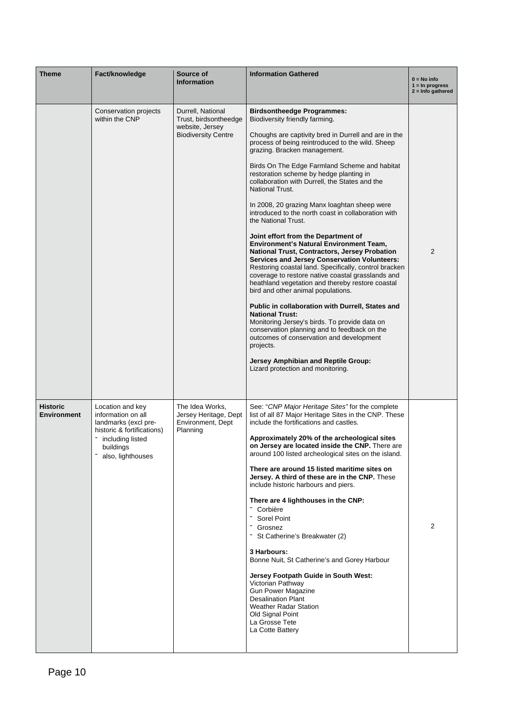| Theme                                 | Fact/knowledge                                                                                                                                     | Source of<br><b>Information</b>                                                             | <b>Information Gathered</b>                                                                                                                                                                                                                                                                                                                                                                                                                                                                                                                                                                                                                                                                                                                                                                                                                                                                                                                                                                                                                                                                                                                                                                                                                               | $0 = No$ info<br>$1 = \ln$ progress<br>$2 =$ Info gathered |
|---------------------------------------|----------------------------------------------------------------------------------------------------------------------------------------------------|---------------------------------------------------------------------------------------------|-----------------------------------------------------------------------------------------------------------------------------------------------------------------------------------------------------------------------------------------------------------------------------------------------------------------------------------------------------------------------------------------------------------------------------------------------------------------------------------------------------------------------------------------------------------------------------------------------------------------------------------------------------------------------------------------------------------------------------------------------------------------------------------------------------------------------------------------------------------------------------------------------------------------------------------------------------------------------------------------------------------------------------------------------------------------------------------------------------------------------------------------------------------------------------------------------------------------------------------------------------------|------------------------------------------------------------|
|                                       | Conservation projects<br>within the CNP                                                                                                            | Durrell, National<br>Trust, birdsontheedge<br>website, Jersey<br><b>Biodiversity Centre</b> | <b>Birdsontheedge Programmes:</b><br>Biodiversity friendly farming.<br>Choughs are captivity bred in Durrell and are in the<br>process of being reintroduced to the wild. Sheep<br>grazing. Bracken management.<br>Birds On The Edge Farmland Scheme and habitat<br>restoration scheme by hedge planting in<br>collaboration with Durrell, the States and the<br><b>National Trust.</b><br>In 2008, 20 grazing Manx loaghtan sheep were<br>introduced to the north coast in collaboration with<br>the National Trust.<br>Joint effort from the Department of<br><b>Environment's Natural Environment Team,</b><br><b>National Trust, Contractors, Jersey Probation</b><br><b>Services and Jersey Conservation Volunteers:</b><br>Restoring coastal land. Specifically, control bracken<br>coverage to restore native coastal grasslands and<br>heathland vegetation and thereby restore coastal<br>bird and other animal populations.<br>Public in collaboration with Durrell, States and<br><b>National Trust:</b><br>Monitoring Jersey's birds. To provide data on<br>conservation planning and to feedback on the<br>outcomes of conservation and development<br>projects.<br>Jersey Amphibian and Reptile Group:<br>Lizard protection and monitoring. | 2                                                          |
| <b>Historic</b><br><b>Environment</b> | Location and key<br>information on all<br>landmarks (excl pre-<br>historic & fortifications)<br>including listed<br>buildings<br>also, lighthouses | The Idea Works,<br>Jersey Heritage, Dept<br>Environment, Dept<br>Planning                   | See: "CNP Major Heritage Sites" for the complete<br>list of all 87 Major Heritage Sites in the CNP. These<br>include the fortifications and castles.<br>Approximately 20% of the archeological sites<br>on Jersey are located inside the CNP. There are<br>around 100 listed archeological sites on the island.<br>There are around 15 listed maritime sites on<br>Jersey. A third of these are in the CNP. These<br>include historic harbours and piers.<br>There are 4 lighthouses in the CNP:<br>- Corbière<br>Sorel Point<br>Grosnez<br>St Catherine's Breakwater (2)<br>3 Harbours:<br>Bonne Nuit, St Catherine's and Gorey Harbour<br>Jersey Footpath Guide in South West:<br>Victorian Pathway<br><b>Gun Power Magazine</b><br><b>Desalination Plant</b><br><b>Weather Radar Station</b><br>Old Signal Point<br>La Grosse Tete<br>La Cotte Battery                                                                                                                                                                                                                                                                                                                                                                                                 | 2                                                          |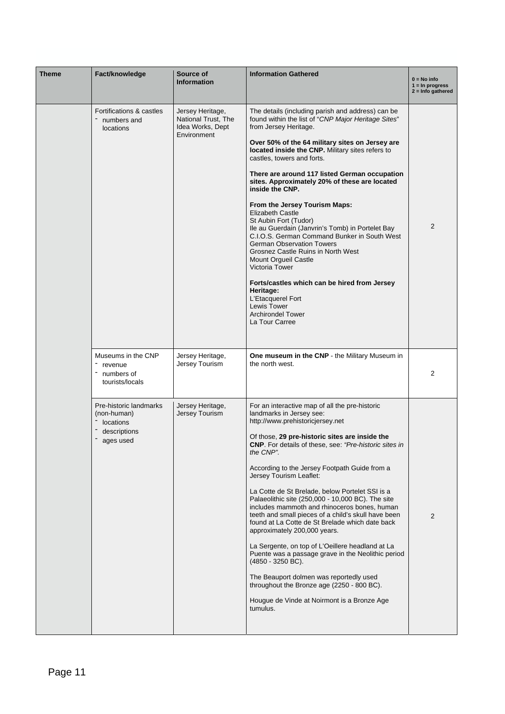| <b>Theme</b> | Fact/knowledge                                                                  | Source of<br><b>Information</b>                                            | <b>Information Gathered</b>                                                                                                                                                                                                                                                                                                                                                                                                                                                                                                                                                                                                                                                                                                                                                                                                                                                                                         | $0 = No$ info<br>$1 = \ln$ progress<br>$2 =$ Info gathered |
|--------------|---------------------------------------------------------------------------------|----------------------------------------------------------------------------|---------------------------------------------------------------------------------------------------------------------------------------------------------------------------------------------------------------------------------------------------------------------------------------------------------------------------------------------------------------------------------------------------------------------------------------------------------------------------------------------------------------------------------------------------------------------------------------------------------------------------------------------------------------------------------------------------------------------------------------------------------------------------------------------------------------------------------------------------------------------------------------------------------------------|------------------------------------------------------------|
|              | Fortifications & castles<br>numbers and<br>locations                            | Jersey Heritage,<br>National Trust, The<br>Idea Works, Dept<br>Environment | The details (including parish and address) can be<br>found within the list of "CNP Major Heritage Sites"<br>from Jersey Heritage.                                                                                                                                                                                                                                                                                                                                                                                                                                                                                                                                                                                                                                                                                                                                                                                   |                                                            |
|              |                                                                                 |                                                                            | Over 50% of the 64 military sites on Jersey are<br>located inside the CNP. Military sites refers to<br>castles, towers and forts.                                                                                                                                                                                                                                                                                                                                                                                                                                                                                                                                                                                                                                                                                                                                                                                   |                                                            |
|              |                                                                                 |                                                                            | There are around 117 listed German occupation<br>sites. Approximately 20% of these are located<br>inside the CNP.                                                                                                                                                                                                                                                                                                                                                                                                                                                                                                                                                                                                                                                                                                                                                                                                   |                                                            |
|              |                                                                                 |                                                                            | From the Jersey Tourism Maps:<br><b>Elizabeth Castle</b><br>St Aubin Fort (Tudor)<br>Ile au Guerdain (Janvrin's Tomb) in Portelet Bay<br>C.I.O.S. German Command Bunker in South West<br><b>German Observation Towers</b><br>Grosnez Castle Ruins in North West<br>Mount Orgueil Castle<br><b>Victoria Tower</b><br>Forts/castles which can be hired from Jersey<br>Heritage:<br>L'Etacquerel Fort<br>Lewis Tower<br><b>Archirondel Tower</b><br>La Tour Carree                                                                                                                                                                                                                                                                                                                                                                                                                                                     | 2                                                          |
|              | Museums in the CNP<br>revenue<br>numbers of<br>tourists/locals                  | Jersey Heritage,<br>Jersey Tourism                                         | One museum in the CNP - the Military Museum in<br>the north west.                                                                                                                                                                                                                                                                                                                                                                                                                                                                                                                                                                                                                                                                                                                                                                                                                                                   | 2                                                          |
|              | Pre-historic landmarks<br>(non-human)<br>locations<br>descriptions<br>ages used | Jersey Heritage,<br>Jersey Tourism                                         | For an interactive map of all the pre-historic<br>landmarks in Jersey see:<br>http://www.prehistoricjersey.net<br>Of those, 29 pre-historic sites are inside the<br>CNP. For details of these, see: "Pre-historic sites in<br>the CNP".<br>According to the Jersey Footpath Guide from a<br>Jersey Tourism Leaflet:<br>La Cotte de St Brelade, below Portelet SSI is a<br>Palaeolithic site (250,000 - 10,000 BC). The site<br>includes mammoth and rhinoceros bones, human<br>teeth and small pieces of a child's skull have been<br>found at La Cotte de St Brelade which date back<br>approximately 200,000 years.<br>La Sergente, on top of L'Oeillere headland at La<br>Puente was a passage grave in the Neolithic period<br>$(4850 - 3250 \text{ BC})$ .<br>The Beauport dolmen was reportedly used<br>throughout the Bronze age (2250 - 800 BC).<br>Hougue de Vinde at Noirmont is a Bronze Age<br>tumulus. | 2                                                          |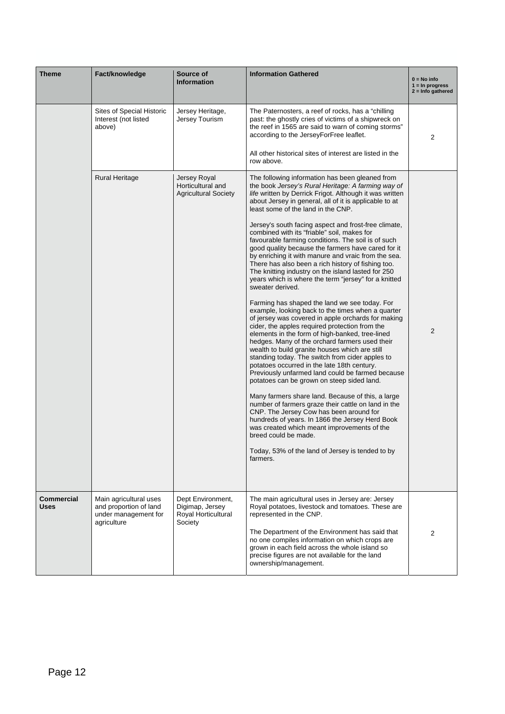| <b>Theme</b>              | Fact/knowledge                                                                          | Source of<br><b>Information</b>                                        | <b>Information Gathered</b>                                                                                                                                                                                                                                                                                                                                                                                                                                                                                                                                                                                                                                                                                                                                                                                                                                                                                                                                                                                                                                                                                                                                                                                                                                                                                                                                                                                                                                                                                                                                                                                                                                  | $0 = No$ info<br>$1 = \ln$ progress<br>$2 =$ Info gathered |
|---------------------------|-----------------------------------------------------------------------------------------|------------------------------------------------------------------------|--------------------------------------------------------------------------------------------------------------------------------------------------------------------------------------------------------------------------------------------------------------------------------------------------------------------------------------------------------------------------------------------------------------------------------------------------------------------------------------------------------------------------------------------------------------------------------------------------------------------------------------------------------------------------------------------------------------------------------------------------------------------------------------------------------------------------------------------------------------------------------------------------------------------------------------------------------------------------------------------------------------------------------------------------------------------------------------------------------------------------------------------------------------------------------------------------------------------------------------------------------------------------------------------------------------------------------------------------------------------------------------------------------------------------------------------------------------------------------------------------------------------------------------------------------------------------------------------------------------------------------------------------------------|------------------------------------------------------------|
|                           | Sites of Special Historic<br>Interest (not listed<br>above)                             | Jersey Heritage,<br>Jersey Tourism                                     | The Paternosters, a reef of rocks, has a "chilling"<br>past: the ghostly cries of victims of a shipwreck on<br>the reef in 1565 are said to warn of coming storms"<br>according to the JerseyForFree leaflet.<br>All other historical sites of interest are listed in the<br>row above.                                                                                                                                                                                                                                                                                                                                                                                                                                                                                                                                                                                                                                                                                                                                                                                                                                                                                                                                                                                                                                                                                                                                                                                                                                                                                                                                                                      | 2                                                          |
|                           | <b>Rural Heritage</b>                                                                   | Jersey Royal<br>Horticultural and<br><b>Agricultural Society</b>       | The following information has been gleaned from<br>the book Jersey's Rural Heritage: A farming way of<br>life written by Derrick Frigot. Although it was written<br>about Jersey in general, all of it is applicable to at<br>least some of the land in the CNP.<br>Jersey's south facing aspect and frost-free climate,<br>combined with its "friable" soil, makes for<br>favourable farming conditions. The soil is of such<br>good quality because the farmers have cared for it<br>by enriching it with manure and vraic from the sea.<br>There has also been a rich history of fishing too.<br>The knitting industry on the island lasted for 250<br>years which is where the term "jersey" for a knitted<br>sweater derived.<br>Farming has shaped the land we see today. For<br>example, looking back to the times when a quarter<br>of jersey was covered in apple orchards for making<br>cider, the apples required protection from the<br>elements in the form of high-banked, tree-lined<br>hedges. Many of the orchard farmers used their<br>wealth to build granite houses which are still<br>standing today. The switch from cider apples to<br>potatoes occurred in the late 18th century.<br>Previously unfarmed land could be farmed because<br>potatoes can be grown on steep sided land.<br>Many farmers share land. Because of this, a large<br>number of farmers graze their cattle on land in the<br>CNP. The Jersey Cow has been around for<br>hundreds of years. In 1866 the Jersey Herd Book<br>was created which meant improvements of the<br>breed could be made.<br>Today, 53% of the land of Jersey is tended to by<br>farmers. | $\overline{2}$                                             |
| Commercial<br><b>Uses</b> | Main agricultural uses<br>and proportion of land<br>under management for<br>agriculture | Dept Environment,<br>Digimap, Jersey<br>Royal Horticultural<br>Society | The main agricultural uses in Jersey are: Jersey<br>Royal potatoes, livestock and tomatoes. These are<br>represented in the CNP.<br>The Department of the Environment has said that<br>no one compiles information on which crops are<br>grown in each field across the whole island so<br>precise figures are not available for the land<br>ownership/management.                                                                                                                                                                                                                                                                                                                                                                                                                                                                                                                                                                                                                                                                                                                                                                                                                                                                                                                                                                                                                                                                                                                                                                                                                                                                                           | 2                                                          |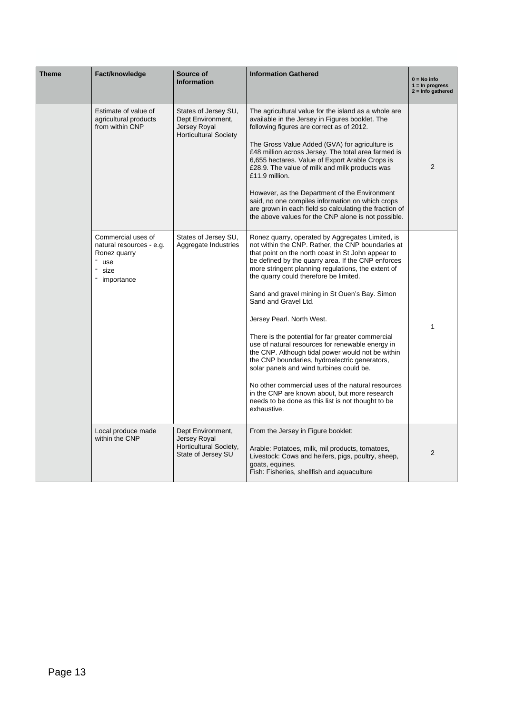| <b>Theme</b> | Fact/knowledge                                                                                | Source of<br><b>Information</b>                                                           | <b>Information Gathered</b>                                                                                                                                                                                                                                                                                                                                                                                                                                                                                                                                                                                                                                                                                                                                                                                                                                    | $0 = No$ info<br>$1 = \ln$ progress<br>$2 =$ Info gathered |
|--------------|-----------------------------------------------------------------------------------------------|-------------------------------------------------------------------------------------------|----------------------------------------------------------------------------------------------------------------------------------------------------------------------------------------------------------------------------------------------------------------------------------------------------------------------------------------------------------------------------------------------------------------------------------------------------------------------------------------------------------------------------------------------------------------------------------------------------------------------------------------------------------------------------------------------------------------------------------------------------------------------------------------------------------------------------------------------------------------|------------------------------------------------------------|
|              | Estimate of value of<br>agricultural products<br>from within CNP                              | States of Jersey SU,<br>Dept Environment,<br>Jersey Royal<br><b>Horticultural Society</b> | The agricultural value for the island as a whole are<br>available in the Jersey in Figures booklet. The<br>following figures are correct as of 2012.<br>The Gross Value Added (GVA) for agriculture is<br>£48 million across Jersey. The total area farmed is<br>6,655 hectares. Value of Export Arable Crops is<br>£28.9. The value of milk and milk products was<br>£11.9 million.<br>However, as the Department of the Environment<br>said, no one compiles information on which crops<br>are grown in each field so calculating the fraction of<br>the above values for the CNP alone is not possible.                                                                                                                                                                                                                                                     | 2                                                          |
|              | Commercial uses of<br>natural resources - e.g.<br>Ronez quarry<br>" use<br>size<br>importance | States of Jersey SU,<br>Aggregate Industries                                              | Ronez quarry, operated by Aggregates Limited, is<br>not within the CNP. Rather, the CNP boundaries at<br>that point on the north coast in St John appear to<br>be defined by the quarry area. If the CNP enforces<br>more stringent planning regulations, the extent of<br>the quarry could therefore be limited.<br>Sand and gravel mining in St Ouen's Bay. Simon<br>Sand and Gravel Ltd.<br>Jersey Pearl. North West.<br>There is the potential for far greater commercial<br>use of natural resources for renewable energy in<br>the CNP. Although tidal power would not be within<br>the CNP boundaries, hydroelectric generators,<br>solar panels and wind turbines could be.<br>No other commercial uses of the natural resources<br>in the CNP are known about, but more research<br>needs to be done as this list is not thought to be<br>exhaustive. | 1                                                          |
|              | Local produce made<br>within the CNP                                                          | Dept Environment,<br>Jersey Royal<br>Horticultural Society,<br>State of Jersey SU         | From the Jersey in Figure booklet:<br>Arable: Potatoes, milk, mil products, tomatoes,<br>Livestock: Cows and heifers, pigs, poultry, sheep,<br>goats, equines.<br>Fish: Fisheries, shellfish and aquaculture                                                                                                                                                                                                                                                                                                                                                                                                                                                                                                                                                                                                                                                   | $\overline{2}$                                             |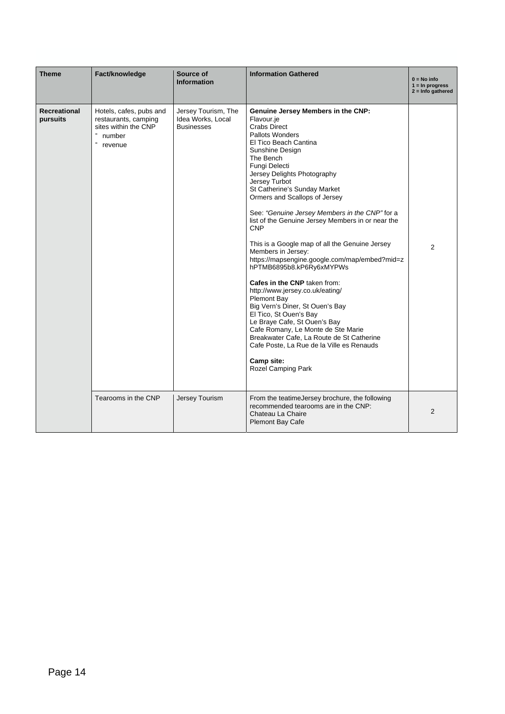| <b>Theme</b>             | Fact/knowledge                                                                               | Source of<br><b>Information</b>                               | <b>Information Gathered</b>                                                                                                                                                                                                                                                                                                                                                                                                                                                                                                                                                                                                                                                                                                                                                                                                                                                                                                      | $0 = No$ info<br>$1 = \ln$ progress<br>$2 =$ Info gathered |
|--------------------------|----------------------------------------------------------------------------------------------|---------------------------------------------------------------|----------------------------------------------------------------------------------------------------------------------------------------------------------------------------------------------------------------------------------------------------------------------------------------------------------------------------------------------------------------------------------------------------------------------------------------------------------------------------------------------------------------------------------------------------------------------------------------------------------------------------------------------------------------------------------------------------------------------------------------------------------------------------------------------------------------------------------------------------------------------------------------------------------------------------------|------------------------------------------------------------|
| Recreational<br>pursuits | Hotels, cafes, pubs and<br>restaurants, camping<br>sites within the CNP<br>number<br>revenue | Jersey Tourism, The<br>Idea Works, Local<br><b>Businesses</b> | Genuine Jersey Members in the CNP:<br>Flavour.je<br><b>Crabs Direct</b><br><b>Pallots Wonders</b><br>El Tico Beach Cantina<br>Sunshine Design<br>The Bench<br>Fungi Delecti<br>Jersey Delights Photography<br>Jersey Turbot<br>St Catherine's Sunday Market<br>Ormers and Scallops of Jersey<br>See: "Genuine Jersey Members in the CNP" for a<br>list of the Genuine Jersey Members in or near the<br><b>CNP</b><br>This is a Google map of all the Genuine Jersey<br>Members in Jersey:<br>https://mapsengine.google.com/map/embed?mid=z<br>hPTMB6895b8.kP6Ry6xMYPWs<br>Cafes in the CNP taken from:<br>http://www.jersey.co.uk/eating/<br><b>Plemont Bay</b><br>Big Vern's Diner, St Ouen's Bay<br>El Tico, St Ouen's Bay<br>Le Braye Cafe, St Ouen's Bay<br>Cafe Romany, Le Monte de Ste Marie<br>Breakwater Cafe, La Route de St Catherine<br>Cafe Poste, La Rue de la Ville es Renauds<br>Camp site:<br>Rozel Camping Park | 2                                                          |
|                          | Tearooms in the CNP                                                                          | Jersey Tourism                                                | From the teatime Jersey brochure, the following<br>recommended tearooms are in the CNP:<br>Chateau La Chaire<br><b>Plemont Bay Cafe</b>                                                                                                                                                                                                                                                                                                                                                                                                                                                                                                                                                                                                                                                                                                                                                                                          | $\overline{2}$                                             |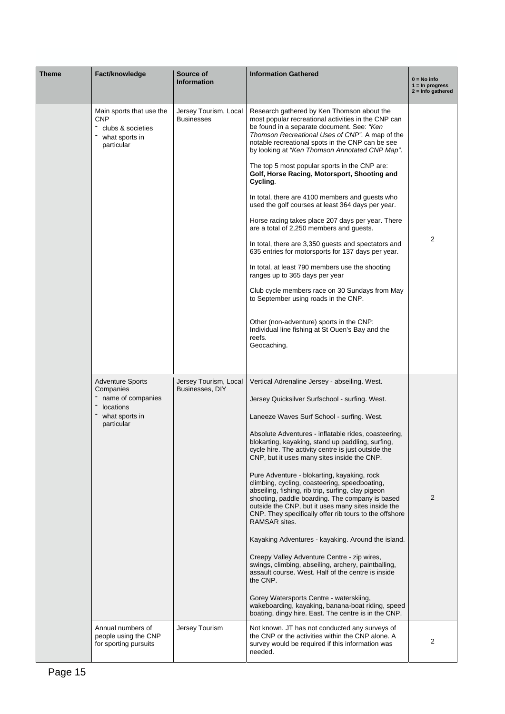| Theme | Fact/knowledge                                                                                         | Source of<br><b>Information</b>            | <b>Information Gathered</b>                                                                                                                                                                                                                                                                                                            | $0 = No$ info<br>$1 = \ln$ progress<br>$2 =$ Info gathered |  |  |  |
|-------|--------------------------------------------------------------------------------------------------------|--------------------------------------------|----------------------------------------------------------------------------------------------------------------------------------------------------------------------------------------------------------------------------------------------------------------------------------------------------------------------------------------|------------------------------------------------------------|--|--|--|
|       | Main sports that use the<br><b>CNP</b><br>clubs & societies<br>what sports in<br>particular            | Jersey Tourism, Local<br><b>Businesses</b> | Research gathered by Ken Thomson about the<br>most popular recreational activities in the CNP can<br>be found in a separate document. See: "Ken<br>Thomson Recreational Uses of CNP". A map of the<br>notable recreational spots in the CNP can be see<br>by looking at "Ken Thomson Annotated CNP Map".                               |                                                            |  |  |  |
|       |                                                                                                        |                                            | The top 5 most popular sports in the CNP are:<br>Golf, Horse Racing, Motorsport, Shooting and<br>Cycling.                                                                                                                                                                                                                              |                                                            |  |  |  |
|       |                                                                                                        |                                            | In total, there are 4100 members and guests who<br>used the golf courses at least 364 days per year.                                                                                                                                                                                                                                   |                                                            |  |  |  |
|       |                                                                                                        |                                            | Horse racing takes place 207 days per year. There<br>are a total of 2,250 members and guests.                                                                                                                                                                                                                                          |                                                            |  |  |  |
|       |                                                                                                        |                                            | In total, there are 3,350 guests and spectators and<br>635 entries for motorsports for 137 days per year.                                                                                                                                                                                                                              |                                                            |  |  |  |
|       |                                                                                                        |                                            | In total, at least 790 members use the shooting<br>ranges up to 365 days per year                                                                                                                                                                                                                                                      |                                                            |  |  |  |
|       |                                                                                                        |                                            | Club cycle members race on 30 Sundays from May<br>to September using roads in the CNP.                                                                                                                                                                                                                                                 |                                                            |  |  |  |
|       |                                                                                                        |                                            | Other (non-adventure) sports in the CNP:<br>Individual line fishing at St Ouen's Bay and the<br>reefs.<br>Geocaching.                                                                                                                                                                                                                  |                                                            |  |  |  |
|       | <b>Adventure Sports</b><br>Companies<br>name of companies<br>locations<br>what sports in<br>particular | Jersey Tourism, Local<br>Businesses, DIY   | Vertical Adrenaline Jersey - abseiling. West.                                                                                                                                                                                                                                                                                          |                                                            |  |  |  |
|       |                                                                                                        |                                            |                                                                                                                                                                                                                                                                                                                                        |                                                            |  |  |  |
|       |                                                                                                        |                                            | Laneeze Waves Surf School - surfing. West.                                                                                                                                                                                                                                                                                             |                                                            |  |  |  |
|       |                                                                                                        |                                            | Absolute Adventures - inflatable rides, coasteering,<br>blokarting, kayaking, stand up paddling, surfing,<br>cycle hire. The activity centre is just outside the<br>CNP, but it uses many sites inside the CNP.                                                                                                                        |                                                            |  |  |  |
|       |                                                                                                        |                                            | Pure Adventure - blokarting, kayaking, rock<br>climbing, cycling, coasteering, speedboating,<br>abseiling, fishing, rib trip, surfing, clay pigeon<br>shooting, paddle boarding. The company is based<br>outside the CNP, but it uses many sites inside the<br>CNP. They specifically offer rib tours to the offshore<br>RAMSAR sites. | 2                                                          |  |  |  |
|       |                                                                                                        |                                            | Kayaking Adventures - kayaking. Around the island.                                                                                                                                                                                                                                                                                     |                                                            |  |  |  |
|       |                                                                                                        |                                            | Creepy Valley Adventure Centre - zip wires,<br>swings, climbing, abseiling, archery, paintballing,<br>assault course. West. Half of the centre is inside<br>the CNP.                                                                                                                                                                   |                                                            |  |  |  |
|       |                                                                                                        |                                            | Gorey Watersports Centre - waterskiing,<br>wakeboarding, kayaking, banana-boat riding, speed<br>boating, dingy hire. East. The centre is in the CNP.                                                                                                                                                                                   |                                                            |  |  |  |
|       | Annual numbers of<br>people using the CNP<br>for sporting pursuits                                     | Jersey Tourism                             | Not known. JT has not conducted any surveys of<br>the CNP or the activities within the CNP alone. A<br>survey would be required if this information was<br>needed.                                                                                                                                                                     | 2                                                          |  |  |  |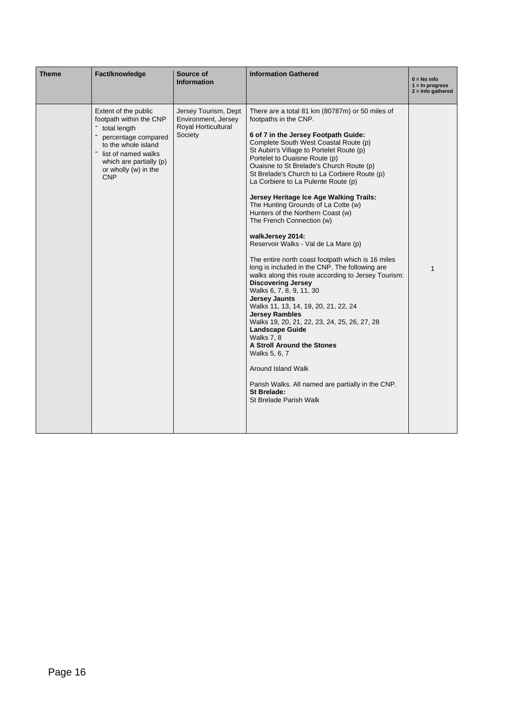| <b>Theme</b> | Fact/knowledge                                                                                                                                                                                        | <b>Information Gathered</b><br>Source of<br><b>Information</b>                       |                                                                                                                                                                                                                                                                                                                                                                                                                                                                                                                                                                                                                                                                                                                                                                                                                                                                                                                                                                                                                                                                                                                                                                             |   |  |  |
|--------------|-------------------------------------------------------------------------------------------------------------------------------------------------------------------------------------------------------|--------------------------------------------------------------------------------------|-----------------------------------------------------------------------------------------------------------------------------------------------------------------------------------------------------------------------------------------------------------------------------------------------------------------------------------------------------------------------------------------------------------------------------------------------------------------------------------------------------------------------------------------------------------------------------------------------------------------------------------------------------------------------------------------------------------------------------------------------------------------------------------------------------------------------------------------------------------------------------------------------------------------------------------------------------------------------------------------------------------------------------------------------------------------------------------------------------------------------------------------------------------------------------|---|--|--|
|              | Extent of the public<br>footpath within the CNP<br>total length<br>percentage compared<br>to the whole island<br>list of named walks<br>which are partially (p)<br>or wholly (w) in the<br><b>CNP</b> | Jersey Tourism, Dept<br>Environment, Jersey<br><b>Roval Horticultural</b><br>Society | There are a total 81 km (80787m) or 50 miles of<br>footpaths in the CNP.<br>6 of 7 in the Jersey Footpath Guide:<br>Complete South West Coastal Route (p)<br>St Aubin's Village to Portelet Route (p)<br>Portelet to Ouaisne Route (p)<br>Ouaisne to St Brelade's Church Route (p)<br>St Brelade's Church to La Corbiere Route (p)<br>La Corbiere to La Pulente Route (p)<br>Jersey Heritage Ice Age Walking Trails:<br>The Hunting Grounds of La Cotte (w)<br>Hunters of the Northern Coast (w)<br>The French Connection (w)<br>walkJersey 2014:<br>Reservoir Walks - Val de La Mare (p)<br>The entire north coast footpath which is 16 miles<br>long is included in the CNP. The following are<br>walks along this route according to Jersey Tourism:<br><b>Discovering Jersey</b><br>Walks 6, 7, 8, 9, 11, 30<br><b>Jersey Jaunts</b><br>Walks 11, 13, 14, 19, 20, 21, 22, 24<br><b>Jersey Rambles</b><br>Walks 19, 20, 21, 22, 23, 24, 25, 26, 27, 28<br><b>Landscape Guide</b><br>Walks 7, 8<br>A Stroll Around the Stones<br>Walks 5, 6, 7<br>Around Island Walk<br>Parish Walks. All named are partially in the CNP.<br><b>St Brelade:</b><br>St Brelade Parish Walk | 1 |  |  |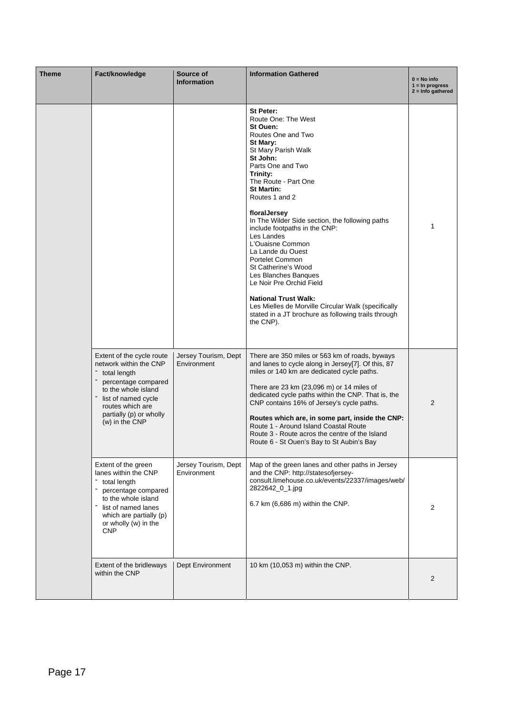| Theme | Fact/knowledge                                                                                                                                                                                            | Source of<br><b>Information</b>     | <b>Information Gathered</b>                                                                                                                                                                                                                                                                                                                                                                                                                                                                                                                                                                                                                 | $0 = No$ info<br>$1 = \ln$ progress<br>2 = Info gathered |
|-------|-----------------------------------------------------------------------------------------------------------------------------------------------------------------------------------------------------------|-------------------------------------|---------------------------------------------------------------------------------------------------------------------------------------------------------------------------------------------------------------------------------------------------------------------------------------------------------------------------------------------------------------------------------------------------------------------------------------------------------------------------------------------------------------------------------------------------------------------------------------------------------------------------------------------|----------------------------------------------------------|
|       |                                                                                                                                                                                                           |                                     | St Peter:<br>Route One: The West<br>St Ouen:<br>Routes One and Two<br>St Mary:<br>St Mary Parish Walk<br>St John:<br>Parts One and Two<br>Trinity:<br>The Route - Part One<br><b>St Martin:</b><br>Routes 1 and 2<br>floralJersey<br>In The Wilder Side section, the following paths<br>include footpaths in the CNP:<br>Les Landes<br>L'Ouaisne Common<br>La Lande du Ouest<br><b>Portelet Common</b><br>St Catherine's Wood<br>Les Blanches Banques<br>Le Noir Pre Orchid Field<br><b>National Trust Walk:</b><br>Les Mielles de Morville Circular Walk (specifically<br>stated in a JT brochure as following trails through<br>the CNP). | 1                                                        |
|       | Extent of the cycle route<br>network within the CNP<br>total length<br>percentage compared<br>to the whole island<br>list of named cycle<br>routes which are<br>partially (p) or wholly<br>(w) in the CNP | Jersey Tourism, Dept<br>Environment | There are 350 miles or 563 km of roads, byways<br>and lanes to cycle along in Jersey[7]. Of this, 87<br>miles or 140 km are dedicated cycle paths.<br>There are 23 km (23,096 m) or 14 miles of<br>dedicated cycle paths within the CNP. That is, the<br>CNP contains 16% of Jersey's cycle paths.<br>Routes which are, in some part, inside the CNP:<br>Route 1 - Around Island Coastal Route<br>Route 3 - Route acros the centre of the Island<br>Route 6 - St Ouen's Bay to St Aubin's Bay                                                                                                                                               | 2                                                        |
|       | Extent of the green<br>lanes within the CNP<br>total length<br>percentage compared<br>to the whole island<br>list of named lanes<br>which are partially (p)<br>or wholly (w) in the<br><b>CNP</b>         | Jersey Tourism, Dept<br>Environment | Map of the green lanes and other paths in Jersey<br>and the CNP: http://statesofjersey-<br>consult.limehouse.co.uk/events/22337/images/web/<br>2822642_0_1.jpg<br>6.7 km (6,686 m) within the CNP.                                                                                                                                                                                                                                                                                                                                                                                                                                          | 2                                                        |
|       | Extent of the bridleways<br>within the CNP                                                                                                                                                                | Dept Environment                    | 10 km (10,053 m) within the CNP.                                                                                                                                                                                                                                                                                                                                                                                                                                                                                                                                                                                                            | 2                                                        |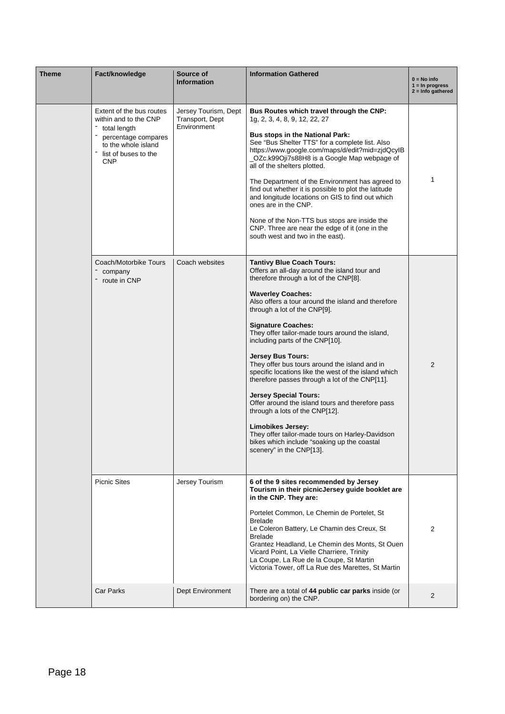| <b>Theme</b> | Fact/knowledge                                                                                                                                        | Source of<br><b>Information</b>                        | <b>Information Gathered</b>                                                                                                                                                                                                                                                                                                                                                                                                                                                                                                                                                                                                                                                                                                                                                                                                     | $0 = No$ info<br>$1 = \ln$ progress<br>$2 =$ Info gathered |  |  |  |
|--------------|-------------------------------------------------------------------------------------------------------------------------------------------------------|--------------------------------------------------------|---------------------------------------------------------------------------------------------------------------------------------------------------------------------------------------------------------------------------------------------------------------------------------------------------------------------------------------------------------------------------------------------------------------------------------------------------------------------------------------------------------------------------------------------------------------------------------------------------------------------------------------------------------------------------------------------------------------------------------------------------------------------------------------------------------------------------------|------------------------------------------------------------|--|--|--|
|              | Extent of the bus routes<br>within and to the CNP<br>total length<br>percentage compares<br>to the whole island<br>list of buses to the<br><b>CNP</b> | Jersey Tourism, Dept<br>Transport, Dept<br>Environment | Bus Routes which travel through the CNP:<br>1g, 2, 3, 4, 8, 9, 12, 22, 27<br><b>Bus stops in the National Park:</b><br>See "Bus Shelter TTS" for a complete list. Also<br>https://www.google.com/maps/d/edit?mid=zjdQcyIB<br>_OZc.k99Oji7s88H8 is a Google Map webpage of<br>all of the shelters plotted.<br>The Department of the Environment has agreed to<br>find out whether it is possible to plot the latitude<br>and longitude locations on GIS to find out which<br>ones are in the CNP.<br>None of the Non-TTS bus stops are inside the<br>CNP. Three are near the edge of it (one in the<br>south west and two in the east).                                                                                                                                                                                          | 1                                                          |  |  |  |
|              | Coach/Motorbike Tours<br>company<br>route in CNP                                                                                                      | Coach websites                                         | <b>Tantivy Blue Coach Tours:</b><br>Offers an all-day around the island tour and<br>therefore through a lot of the CNP[8].<br><b>Waverley Coaches:</b><br>Also offers a tour around the island and therefore<br>through a lot of the CNP[9].<br><b>Signature Coaches:</b><br>They offer tailor-made tours around the island,<br>including parts of the CNP[10].<br><b>Jersey Bus Tours:</b><br>They offer bus tours around the island and in<br>specific locations like the west of the island which<br>therefore passes through a lot of the CNP[11].<br><b>Jersey Special Tours:</b><br>Offer around the island tours and therefore pass<br>through a lots of the CNP[12].<br>Limobikes Jersey:<br>They offer tailor-made tours on Harley-Davidson<br>bikes which include "soaking up the coastal<br>scenery" in the CNP[13]. | 2                                                          |  |  |  |
|              | <b>Picnic Sites</b>                                                                                                                                   | Jersey Tourism                                         | 6 of the 9 sites recommended by Jersey<br>Tourism in their picnicJersey guide booklet are<br>in the CNP. They are:<br>Portelet Common, Le Chemin de Portelet, St<br><b>Brelade</b><br>Le Coleron Battery, Le Chamin des Creux, St<br><b>Brelade</b><br>Grantez Headland, Le Chemin des Monts, St Ouen<br>Vicard Point, La Vielle Charriere, Trinity<br>La Coupe, La Rue de la Coupe, St Martin<br>Victoria Tower, off La Rue des Marettes, St Martin                                                                                                                                                                                                                                                                                                                                                                            | 2                                                          |  |  |  |
|              | <b>Car Parks</b>                                                                                                                                      | Dept Environment                                       | There are a total of 44 public car parks inside (or<br>bordering on) the CNP.                                                                                                                                                                                                                                                                                                                                                                                                                                                                                                                                                                                                                                                                                                                                                   | 2                                                          |  |  |  |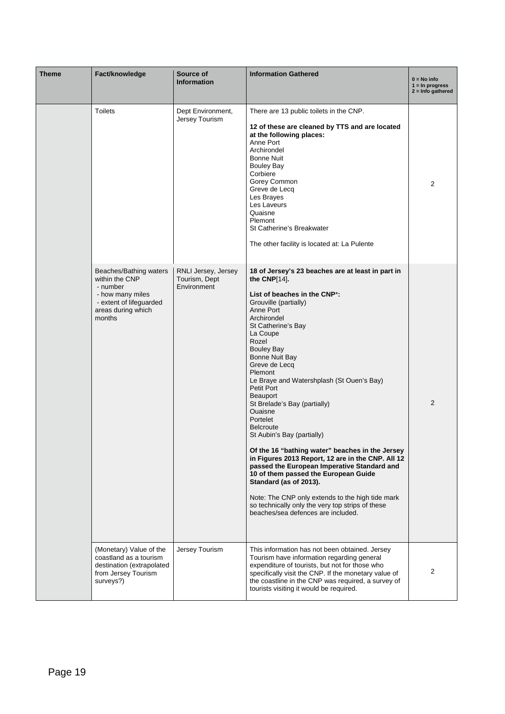| <b>Theme</b> | Fact/knowledge                                                                                                                                                                                                                                                                                                         | Source of<br><b>Information</b> | <b>Information Gathered</b><br>$0 = No$ info<br>$1 = \ln$ progress<br>$2 =$ Info gathered                                                                                                                                                                                                                                                                                                                                                                                                                                                                                                                                                                                                                                                                                                                          |   |  |  |
|--------------|------------------------------------------------------------------------------------------------------------------------------------------------------------------------------------------------------------------------------------------------------------------------------------------------------------------------|---------------------------------|--------------------------------------------------------------------------------------------------------------------------------------------------------------------------------------------------------------------------------------------------------------------------------------------------------------------------------------------------------------------------------------------------------------------------------------------------------------------------------------------------------------------------------------------------------------------------------------------------------------------------------------------------------------------------------------------------------------------------------------------------------------------------------------------------------------------|---|--|--|
|              | <b>Toilets</b><br>Dept Environment,<br>Jersey Tourism<br>at the following places:<br>Anne Port<br>Archirondel<br>Bonne Nuit<br>Bouley Bay<br>Corbiere<br>Gorey Common<br>Greve de Lecq<br>Les Brayes<br>Les Laveurs<br>Quaisne<br>Plemont<br>St Catherine's Breakwater<br>The other facility is located at: La Pulente |                                 | There are 13 public toilets in the CNP.<br>12 of these are cleaned by TTS and are located                                                                                                                                                                                                                                                                                                                                                                                                                                                                                                                                                                                                                                                                                                                          | 2 |  |  |
|              | within the CNP<br>Tourism, Dept<br>- number<br>Environment<br>- how many miles<br>- extent of lifeguarded<br>areas during which<br>months<br>Rozel                                                                                                                                                                     |                                 | 18 of Jersey's 23 beaches are at least in part in<br>the CNP[14].<br>List of beaches in the CNP*:<br>Grouville (partially)<br>Anne Port<br>Archirondel<br>St Catherine's Bay<br>La Coupe<br><b>Bouley Bay</b><br>Bonne Nuit Bay<br>Greve de Lecq<br>Plemont<br>Le Braye and Watershplash (St Ouen's Bay)<br>Petit Port<br>Beauport<br>St Brelade's Bay (partially)<br>Ouaisne<br>Portelet<br><b>Belcroute</b><br>St Aubin's Bay (partially)<br>Of the 16 "bathing water" beaches in the Jersey<br>in Figures 2013 Report, 12 are in the CNP. All 12<br>passed the European Imperative Standard and<br>10 of them passed the European Guide<br>Standard (as of 2013).<br>Note: The CNP only extends to the high tide mark<br>so technically only the very top strips of these<br>beaches/sea defences are included. | 2 |  |  |
|              | (Monetary) Value of the<br>coastland as a tourism<br>destination (extrapolated<br>from Jersey Tourism<br>surveys?)                                                                                                                                                                                                     | Jersey Tourism                  | This information has not been obtained. Jersey<br>Tourism have information regarding general<br>expenditure of tourists, but not for those who<br>specifically visit the CNP. If the monetary value of<br>the coastline in the CNP was required, a survey of<br>tourists visiting it would be required.                                                                                                                                                                                                                                                                                                                                                                                                                                                                                                            | 2 |  |  |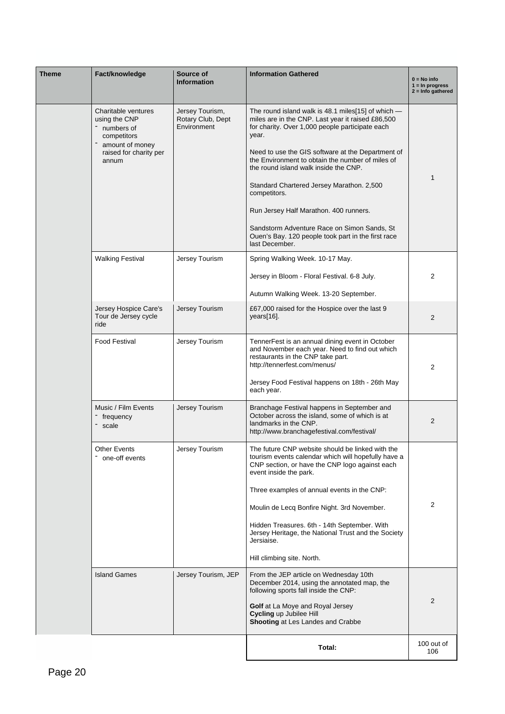| Theme | Fact/knowledge                                                                                                                                                        | Source of<br><b>Information</b>                                                                                                                                                                                                         | <b>Information Gathered</b>                                                                                                                                                                                                                                                                                                                                                                                                                                                                                                                            | $0 = No$ info<br>$1 = \ln$ progress<br>$2 =$ Info gathered |  |  |  |  |
|-------|-----------------------------------------------------------------------------------------------------------------------------------------------------------------------|-----------------------------------------------------------------------------------------------------------------------------------------------------------------------------------------------------------------------------------------|--------------------------------------------------------------------------------------------------------------------------------------------------------------------------------------------------------------------------------------------------------------------------------------------------------------------------------------------------------------------------------------------------------------------------------------------------------------------------------------------------------------------------------------------------------|------------------------------------------------------------|--|--|--|--|
|       | Charitable ventures<br>using the CNP<br>numbers of<br>competitors<br>amount of money<br>raised for charity per<br>annum                                               | Jersey Tourism,<br>Rotary Club, Dept<br>Environment                                                                                                                                                                                     | The round island walk is 48.1 miles [15] of which $-$<br>miles are in the CNP. Last year it raised £86,500<br>for charity. Over 1,000 people participate each<br>year.<br>Need to use the GIS software at the Department of<br>the Environment to obtain the number of miles of<br>the round island walk inside the CNP.<br>Standard Chartered Jersey Marathon. 2,500<br>competitors.<br>Run Jersey Half Marathon. 400 runners.<br>Sandstorm Adventure Race on Simon Sands, St<br>Ouen's Bay. 120 people took part in the first race<br>last December. | 1                                                          |  |  |  |  |
|       | <b>Walking Festival</b><br>Jersey Tourism<br>Spring Walking Week. 10-17 May.<br>Jersey in Bloom - Floral Festival. 6-8 July.<br>Autumn Walking Week. 13-20 September. |                                                                                                                                                                                                                                         |                                                                                                                                                                                                                                                                                                                                                                                                                                                                                                                                                        |                                                            |  |  |  |  |
|       | Jersey Tourism<br>Jersey Hospice Care's<br>£67,000 raised for the Hospice over the last 9<br>Tour de Jersey cycle<br>years[16].<br>ride                               |                                                                                                                                                                                                                                         |                                                                                                                                                                                                                                                                                                                                                                                                                                                                                                                                                        |                                                            |  |  |  |  |
|       | <b>Food Festival</b>                                                                                                                                                  | TennerFest is an annual dining event in October<br>and November each year. Need to find out which<br>restaurants in the CNP take part.<br>http://tennerfest.com/menus/<br>Jersey Food Festival happens on 18th - 26th May<br>each year. | 2                                                                                                                                                                                                                                                                                                                                                                                                                                                                                                                                                      |                                                            |  |  |  |  |
|       | Music / Film Events<br>frequency<br>scale                                                                                                                             | Branchage Festival happens in September and<br>October across the island, some of which is at<br>landmarks in the CNP.<br>http://www.branchagefestival.com/festival/                                                                    | 2                                                                                                                                                                                                                                                                                                                                                                                                                                                                                                                                                      |                                                            |  |  |  |  |
|       | Other Events<br>Jersey Tourism<br>one-off events                                                                                                                      |                                                                                                                                                                                                                                         | The future CNP website should be linked with the<br>tourism events calendar which will hopefully have a<br>CNP section, or have the CNP logo against each<br>event inside the park.<br>Three examples of annual events in the CNP:<br>Moulin de Lecq Bonfire Night. 3rd November.<br>Hidden Treasures. 6th - 14th September. With<br>Jersey Heritage, the National Trust and the Society<br>Jersiaise.<br>Hill climbing site. North.                                                                                                                   | 2                                                          |  |  |  |  |
|       | <b>Island Games</b>                                                                                                                                                   | Jersey Tourism, JEP                                                                                                                                                                                                                     | From the JEP article on Wednesday 10th<br>December 2014, using the annotated map, the<br>following sports fall inside the CNP:<br>Golf at La Moye and Royal Jersey<br>Cycling up Jubilee Hill<br>Shooting at Les Landes and Crabbe                                                                                                                                                                                                                                                                                                                     | $\overline{2}$                                             |  |  |  |  |
|       |                                                                                                                                                                       |                                                                                                                                                                                                                                         | Total:                                                                                                                                                                                                                                                                                                                                                                                                                                                                                                                                                 | 100 out of<br>106                                          |  |  |  |  |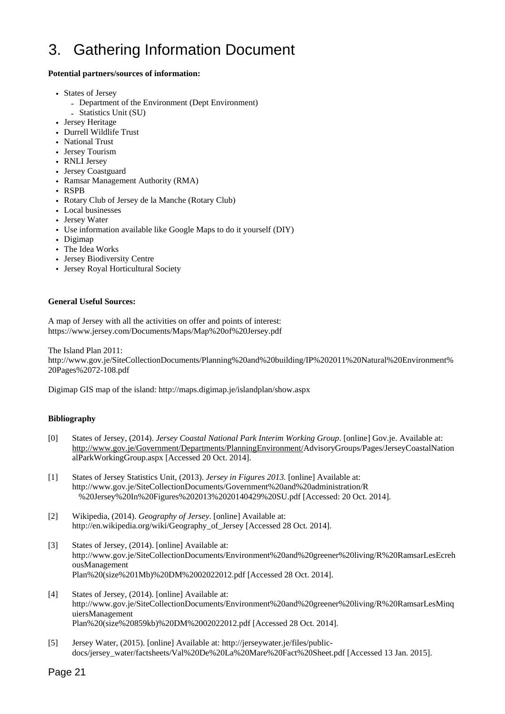## 3. Gathering Information Document

#### **Potential partners/sources of information:**

- States of Jersey
	- Department of the Environment (Dept Environment)
	- Statistics Unit (SU)
- Jersey Heritage
- Durrell Wildlife Trust
- National Trust
- Jersey Tourism
- RNLI Jersey
- Jersey Coastguard
- Ramsar Management Authority (RMA)
- RSPB
- Rotary Club of Jersey de la Manche (Rotary Club)
- Local businesses
- Jersey Water
- Use information available like Google Maps to do it yourself (DIY)
- Digimap
- The Idea Works
- Jersey Biodiversity Centre
- Jersey Royal Horticultural Society

#### **General Useful Sources:**

A map of Jersey with all the activities on offer and points of interest: https://www.jersey.com/Documents/Maps/Map%20of%20Jersey.pdf

The Island Plan 2011:

http://www.gov.je/SiteCollectionDocuments/Planning%20and%20building/IP%202011%20Natural%20Environment% 20Pages%2072-108.pdf

Digimap GIS map of the island: http://maps.digimap.je/islandplan/show.aspx

#### **Bibliography**

- [0] States of Jersey, (2014). *Jersey Coastal National Park Interim Working Group*. [online] Gov.je. Available at: http://www.gov.je/Government/Departments/PlanningEnvironment/AdvisoryGroups/Pages/JerseyCoastalNation alParkWorkingGroup.aspx [Accessed 20 Oct. 2014].
- [1] States of Jersey Statistics Unit, (2013). *Jersey in Figures 2013.* [online] Available at: http://www.gov.je/SiteCollectionDocuments/Government%20and%20administration/R %20Jersey%20In%20Figures%202013%2020140429%20SU.pdf [Accessed: 20 Oct. 2014].
- [2] Wikipedia, (2014). *Geography of Jersey*. [online] Available at: http://en.wikipedia.org/wiki/Geography\_of\_Jersey [Accessed 28 Oct. 2014].
- [3] States of Jersey, (2014). [online] Available at: http://www.gov.je/SiteCollectionDocuments/Environment%20and%20greener%20living/R%20RamsarLesEcreh ousManagement Plan%20(size%201Mb)%20DM%2002022012.pdf [Accessed 28 Oct. 2014].
- [4] States of Jersey, (2014). [online] Available at: http://www.gov.je/SiteCollectionDocuments/Environment%20and%20greener%20living/R%20RamsarLesMinq uiersManagement Plan%20(size%20859kb)%20DM%2002022012.pdf [Accessed 28 Oct. 2014].
- [5] Jersey Water, (2015). [online] Available at: http://jerseywater.je/files/publicdocs/jersey\_water/factsheets/Val%20De%20La%20Mare%20Fact%20Sheet.pdf [Accessed 13 Jan. 2015].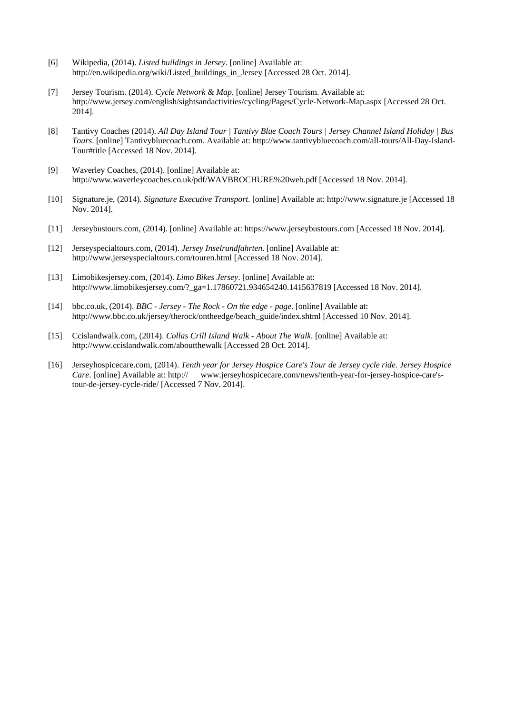- [6] Wikipedia, (2014). *Listed buildings in Jersey*. [online] Available at: http://en.wikipedia.org/wiki/Listed\_buildings\_in\_Jersey [Accessed 28 Oct. 2014].
- [7] Jersey Tourism. (2014). *Cycle Network & Map*. [online] Jersey Tourism. Available at: http://www.jersey.com/english/sightsandactivities/cycling/Pages/Cycle-Network-Map.aspx [Accessed 28 Oct. 2014].
- [8] Tantivy Coaches (2014). *All Day Island Tour | Tantivy Blue Coach Tours | Jersey Channel Island Holiday | Bus Tours*. [online] Tantivybluecoach.com. Available at: http://www.tantivybluecoach.com/all-tours/All-Day-Island-Tour#title [Accessed 18 Nov. 2014].
- [9] Waverley Coaches, (2014). [online] Available at: http://www.waverleycoaches.co.uk/pdf/WAVBROCHURE%20web.pdf [Accessed 18 Nov. 2014].
- [10] Signature.je, (2014). *Signature Executive Transport*. [online] Available at: http://www.signature.je [Accessed 18 Nov. 2014].
- [11] Jerseybustours.com, (2014). [online] Available at: https://www.jerseybustours.com [Accessed 18 Nov. 2014].
- [12] Jerseyspecialtours.com, (2014). *Jersey Inselrundfahrten*. [online] Available at: http://www.jerseyspecialtours.com/touren.html [Accessed 18 Nov. 2014].
- [13] Limobikesjersey.com, (2014). *Limo Bikes Jersey*. [online] Available at: http://www.limobikesjersey.com/?\_ga=1.17860721.934654240.1415637819 [Accessed 18 Nov. 2014].
- [14] bbc.co.uk, (2014). *BBC Jersey The Rock On the edge page*. [online] Available at: http://www.bbc.co.uk/jersey/therock/ontheedge/beach\_guide/index.shtml [Accessed 10 Nov. 2014].
- [15] Ccislandwalk.com, (2014). *Collas Crill Island Walk About The Walk*. [online] Available at: http://www.ccislandwalk.com/aboutthewalk [Accessed 28 Oct. 2014].
- [16] Jerseyhospicecare.com, (2014). *Tenth year for Jersey Hospice Care's Tour de Jersey cycle ride. Jersey Hospice Care*. [online] Available at: http:// www.jerseyhospicecare.com/news/tenth-year-for-jersey-hospice-care'stour-de-jersey-cycle-ride/ [Accessed 7 Nov. 2014].